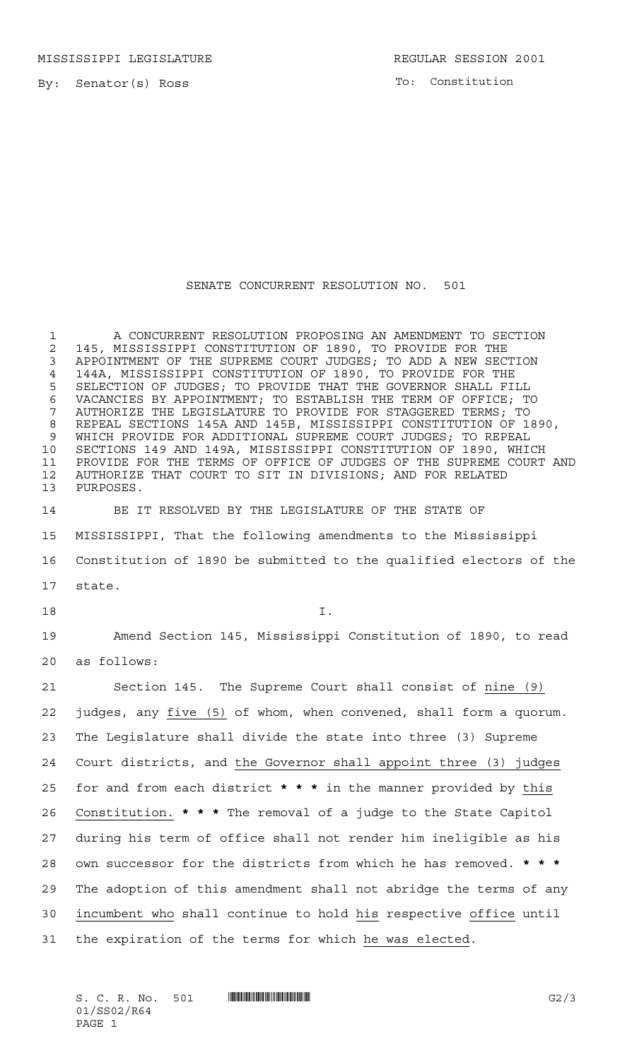By: Senator(s) Ross

To: Constitution

## SENATE CONCURRENT RESOLUTION NO. 501

 A CONCURRENT RESOLUTION PROPOSING AN AMENDMENT TO SECTION 2 145, MISSISSIPPI CONSTITUTION OF 1890, TO PROVIDE FOR THE 3 APPOINTMENT OF THE SUPREME COURT JUDGES: TO ADD A NEW SECT APPOINTMENT OF THE SUPREME COURT JUDGES; TO ADD A NEW SECTION 144A, MISSISSIPPI CONSTITUTION OF 1890, TO PROVIDE FOR THE SELECTION OF JUDGES; TO PROVIDE THAT THE GOVERNOR SHALL FILL VACANCIES BY APPOINTMENT; TO ESTABLISH THE TERM OF OFFICE; TO AUTHORIZE THE LEGISLATURE TO PROVIDE FOR STAGGERED TERMS; TO REPEAL SECTIONS 145A AND 145B, MISSISSIPPI CONSTITUTION OF 1890, WHICH PROVIDE FOR ADDITIONAL SUPREME COURT JUDGES; TO REPEAL SECTIONS 149 AND 149A, MISSISSIPPI CONSTITUTION OF 1890, WHICH PROVIDE FOR THE TERMS OF OFFICE OF JUDGES OF THE SUPREME COURT AND AUTHORIZE THAT COURT TO SIT IN DIVISIONS; AND FOR RELATED PURPOSES. BE IT RESOLVED BY THE LEGISLATURE OF THE STATE OF MISSISSIPPI, That the following amendments to the Mississippi Constitution of 1890 be submitted to the qualified electors of the state. I. Amend Section 145, Mississippi Constitution of 1890, to read as follows: Section 145. The Supreme Court shall consist of nine (9) judges, any five (5) of whom, when convened, shall form a quorum. The Legislature shall divide the state into three (3) Supreme Court districts, and the Governor shall appoint three (3) judges for and from each district **\*\*\*** in the manner provided by this Constitution. **\*\*\*** The removal of a judge to the State Capitol during his term of office shall not render him ineligible as his own successor for the districts from which he has removed. **\*\*\*** The adoption of this amendment shall not abridge the terms of any incumbent who shall continue to hold his respective office until the expiration of the terms for which he was elected.

S. C. R. No. 501 **. SSUE AN INSTEAD ASSESSED AT A CONSERVANT CONTRACT** G2/3 01/SS02/R64 PAGE 1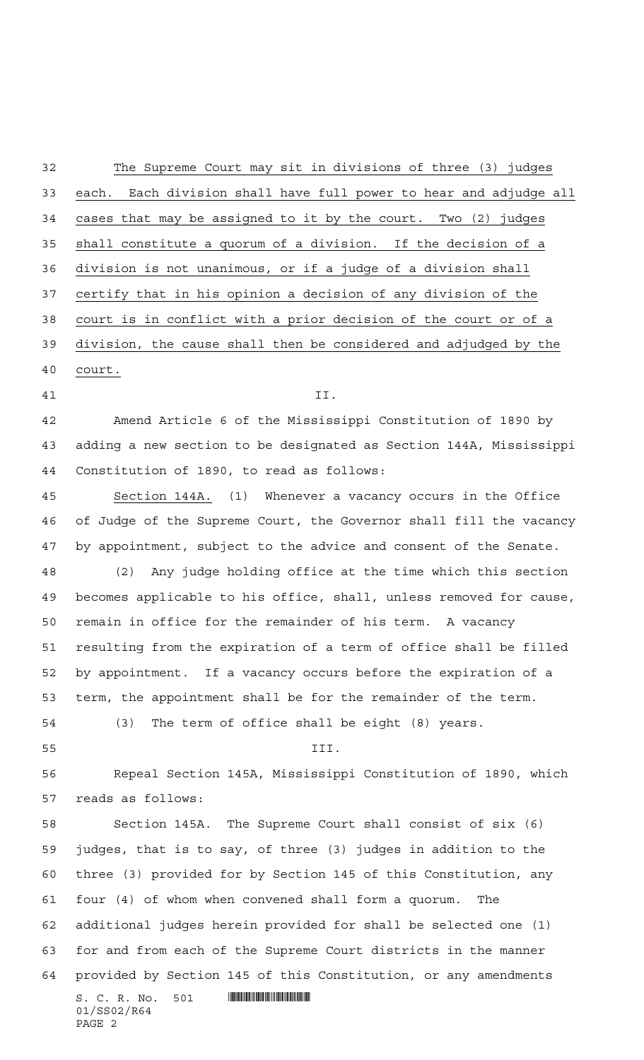The Supreme Court may sit in divisions of three (3) judges each. Each division shall have full power to hear and adjudge all cases that may be assigned to it by the court. Two (2) judges shall constitute a quorum of a division. If the decision of a division is not unanimous, or if a judge of a division shall certify that in his opinion a decision of any division of the court is in conflict with a prior decision of the court or of a division, the cause shall then be considered and adjudged by the court. II. Amend Article 6 of the Mississippi Constitution of 1890 by adding a new section to be designated as Section 144A, Mississippi Constitution of 1890, to read as follows: Section 144A. (1) Whenever a vacancy occurs in the Office of Judge of the Supreme Court, the Governor shall fill the vacancy by appointment, subject to the advice and consent of the Senate. (2) Any judge holding office at the time which this section becomes applicable to his office, shall, unless removed for cause, remain in office for the remainder of his term. A vacancy resulting from the expiration of a term of office shall be filled by appointment. If a vacancy occurs before the expiration of a term, the appointment shall be for the remainder of the term. (3) The term of office shall be eight (8) years. III. Repeal Section 145A, Mississippi Constitution of 1890, which reads as follows: Section 145A. The Supreme Court shall consist of six (6) judges, that is to say, of three (3) judges in addition to the three (3) provided for by Section 145 of this Constitution, any four (4) of whom when convened shall form a quorum. The additional judges herein provided for shall be selected one (1)

 for and from each of the Supreme Court districts in the manner provided by Section 145 of this Constitution, or any amendments

S. C. R. No. 501 \*SS02/R64\* 01/SS02/R64 PAGE 2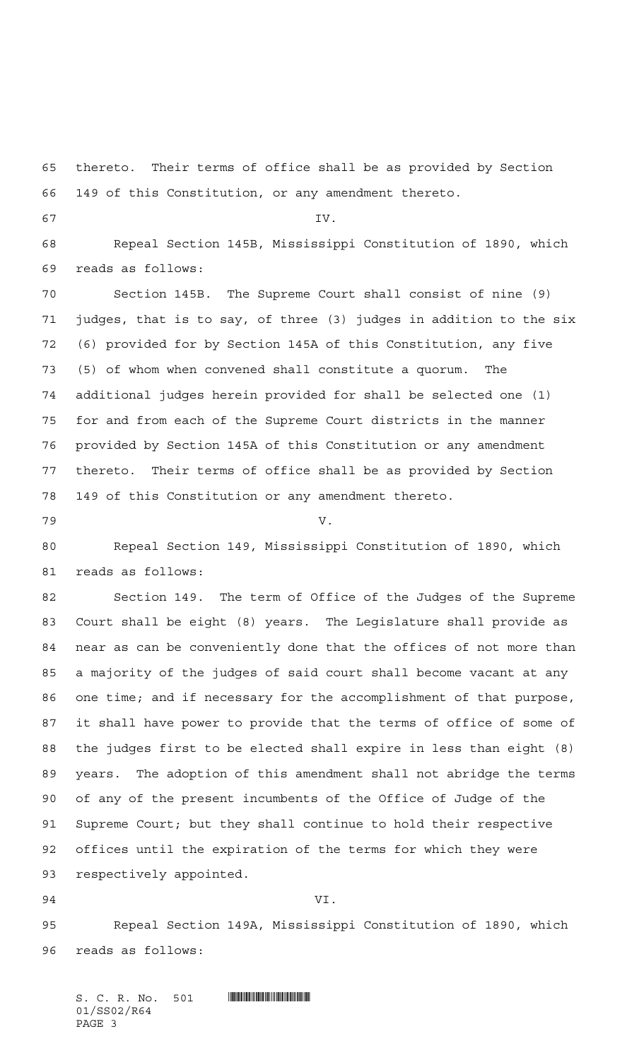thereto. Their terms of office shall be as provided by Section 149 of this Constitution, or any amendment thereto. IV. Repeal Section 145B, Mississippi Constitution of 1890, which reads as follows: Section 145B. The Supreme Court shall consist of nine (9) judges, that is to say, of three (3) judges in addition to the six (6) provided for by Section 145A of this Constitution, any five (5) of whom when convened shall constitute a quorum. The additional judges herein provided for shall be selected one (1) for and from each of the Supreme Court districts in the manner provided by Section 145A of this Constitution or any amendment thereto. Their terms of office shall be as provided by Section 149 of this Constitution or any amendment thereto. V. Repeal Section 149, Mississippi Constitution of 1890, which reads as follows: Section 149. The term of Office of the Judges of the Supreme Court shall be eight (8) years. The Legislature shall provide as near as can be conveniently done that the offices of not more than a majority of the judges of said court shall become vacant at any one time; and if necessary for the accomplishment of that purpose, it shall have power to provide that the terms of office of some of the judges first to be elected shall expire in less than eight (8) years. The adoption of this amendment shall not abridge the terms of any of the present incumbents of the Office of Judge of the Supreme Court; but they shall continue to hold their respective offices until the expiration of the terms for which they were respectively appointed. VI.

 Repeal Section 149A, Mississippi Constitution of 1890, which reads as follows:

 $S. C. R. No. 501$  . The set of the set of  $R$ 01/SS02/R64 PAGE 3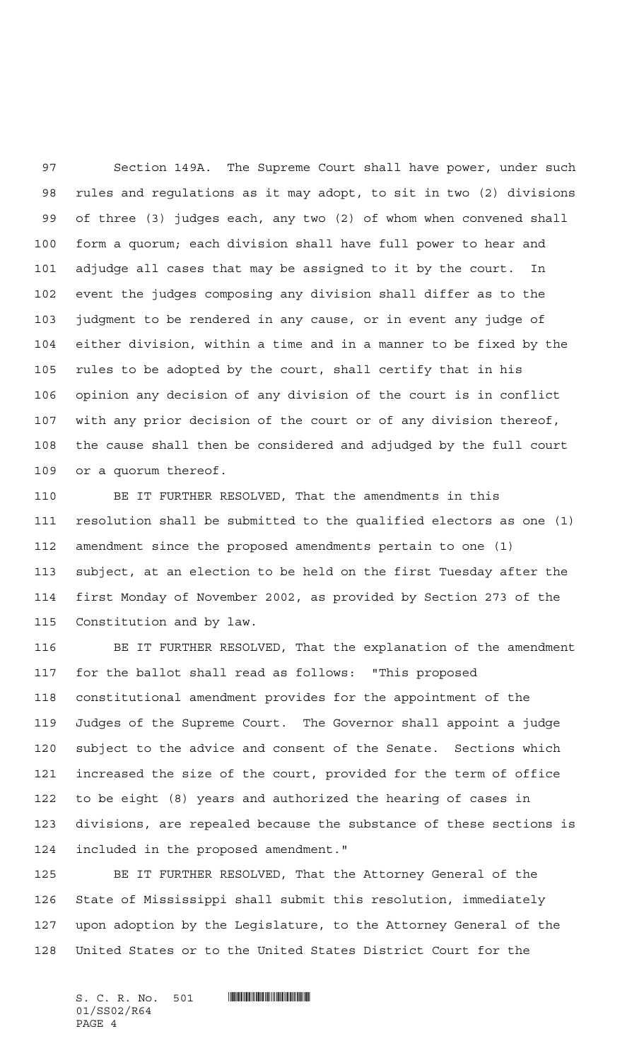Section 149A. The Supreme Court shall have power, under such rules and regulations as it may adopt, to sit in two (2) divisions of three (3) judges each, any two (2) of whom when convened shall form a quorum; each division shall have full power to hear and adjudge all cases that may be assigned to it by the court. In event the judges composing any division shall differ as to the judgment to be rendered in any cause, or in event any judge of either division, within a time and in a manner to be fixed by the rules to be adopted by the court, shall certify that in his opinion any decision of any division of the court is in conflict with any prior decision of the court or of any division thereof, the cause shall then be considered and adjudged by the full court or a quorum thereof.

 BE IT FURTHER RESOLVED, That the amendments in this resolution shall be submitted to the qualified electors as one (1) amendment since the proposed amendments pertain to one (1) subject, at an election to be held on the first Tuesday after the first Monday of November 2002, as provided by Section 273 of the Constitution and by law.

 BE IT FURTHER RESOLVED, That the explanation of the amendment for the ballot shall read as follows: "This proposed constitutional amendment provides for the appointment of the Judges of the Supreme Court. The Governor shall appoint a judge subject to the advice and consent of the Senate. Sections which increased the size of the court, provided for the term of office to be eight (8) years and authorized the hearing of cases in divisions, are repealed because the substance of these sections is included in the proposed amendment."

 BE IT FURTHER RESOLVED, That the Attorney General of the State of Mississippi shall submit this resolution, immediately upon adoption by the Legislature, to the Attorney General of the United States or to the United States District Court for the

 $S. C. R. No. 501$  . The set of the set of  $R$ 01/SS02/R64 PAGE 4